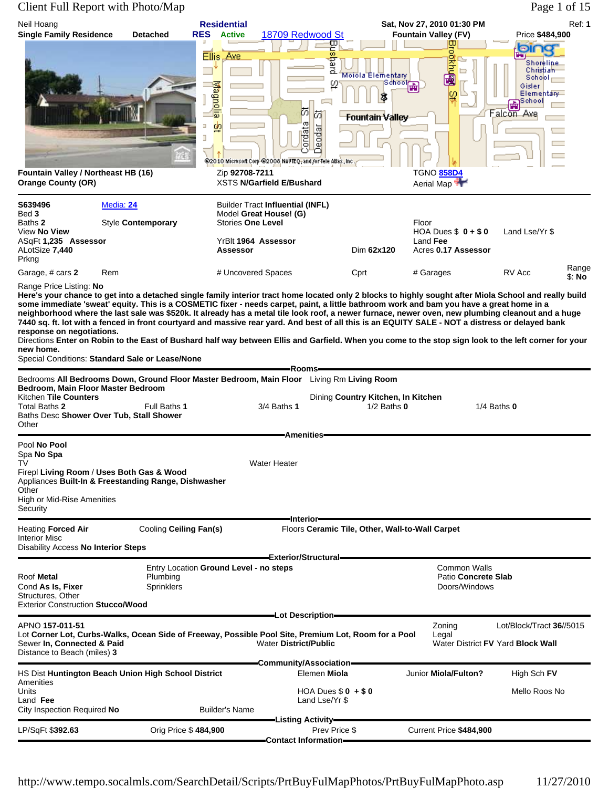|                                                                                                | Client Full Report with Photo/Map                                                                                                                                                                                                                                                                                                                                                                                                                                                                                                                                                                                                                                                                                                                                                                                       |                                                                    |                                                                                                                           |                                    |                                                              |                                                                  |                                                                                                          | Page 1 of 15    |
|------------------------------------------------------------------------------------------------|-------------------------------------------------------------------------------------------------------------------------------------------------------------------------------------------------------------------------------------------------------------------------------------------------------------------------------------------------------------------------------------------------------------------------------------------------------------------------------------------------------------------------------------------------------------------------------------------------------------------------------------------------------------------------------------------------------------------------------------------------------------------------------------------------------------------------|--------------------------------------------------------------------|---------------------------------------------------------------------------------------------------------------------------|------------------------------------|--------------------------------------------------------------|------------------------------------------------------------------|----------------------------------------------------------------------------------------------------------|-----------------|
| Neil Hoang<br><b>Single Family Residence</b>                                                   | <b>Detached</b>                                                                                                                                                                                                                                                                                                                                                                                                                                                                                                                                                                                                                                                                                                                                                                                                         | <b>Residential</b><br><b>RES</b><br><b>Active</b>                  | 18709 Redwood St                                                                                                          | ◫                                  |                                                              | Sat, Nov 27, 2010 01:30 PM<br><b>Fountain Valley (FV)</b>        | Price \$484,900                                                                                          | <b>Ref: 1</b>   |
| Fountain Valley / Northeast HB (16)<br><b>Orange County (OR)</b>                               |                                                                                                                                                                                                                                                                                                                                                                                                                                                                                                                                                                                                                                                                                                                                                                                                                         | Ellis Ave<br><b>production</b><br>Ξ<br>Ù.<br>J<br>Zip 92708-7211   | あ<br>$\sigma$<br>iordat<br>@2010 Microsoft Corp.@2008 NAVTEQ, and /or Tele Adas, Inc.<br><b>XSTS N/Garfield E/Bushard</b> | 등<br>pach<br>ω<br>苬<br>eodar       | Moiola Elementary<br>School H<br>8<br><b>Fountain Valley</b> | 맣<br><b>Report</b><br>o<br>lφ<br><b>TGNO 858D4</b><br>Aerial Map | БТ<br>Shoreline<br>Christi a <del>h</del><br>School<br>Gisler<br>Elementary<br>School<br>곭<br>Falcon Ave |                 |
| S639496<br>Bed 3<br>Baths 2<br>View No View<br>ASqFt 1,235 Assessor<br>ALotSize 7,440<br>Prkng | Media: 24<br>Style Contemporary                                                                                                                                                                                                                                                                                                                                                                                                                                                                                                                                                                                                                                                                                                                                                                                         | <b>Stories One Level</b><br>YrBlt 1964 Assessor<br><b>Assessor</b> | <b>Builder Tract Influential (INFL)</b><br>Model Great House! (G)                                                         |                                    | Dim 62x120                                                   | Floor<br>HOA Dues $$0 + $0$<br>Land Fee<br>Acres 0.17 Assessor   | Land Lse/Yr \$                                                                                           |                 |
| Garage, # cars 2                                                                               | Rem                                                                                                                                                                                                                                                                                                                                                                                                                                                                                                                                                                                                                                                                                                                                                                                                                     | # Uncovered Spaces                                                 |                                                                                                                           | Cprt                               |                                                              | # Garages                                                        | RV Acc                                                                                                   | Range<br>\$: No |
| Range Price Listing: No<br>response on negotiations.<br>new home.                              | Here's your chance to get into a detached single family interior tract home located only 2 blocks to highly sought after Miola School and really build<br>some immediate 'sweat' equity. This is a COSMETIC fixer - needs carpet, paint, a little bathroom work and bam you have a great home in a<br>neighborhood where the last sale was \$520k. It already has a metal tile look roof, a newer furnace, newer oven, new plumbing cleanout and a huge<br>7440 sq. ft. lot with a fenced in front courtyard and massive rear yard. And best of all this is an EQUITY SALE - NOT a distress or delayed bank<br>Directions Enter on Robin to the East of Bushard half way between Ellis and Garfield. When you come to the stop sign look to the left corner for your<br>Special Conditions: Standard Sale or Lease/None |                                                                    | Rooms-                                                                                                                    |                                    |                                                              |                                                                  |                                                                                                          |                 |
| Bedroom, Main Floor Master Bedroom                                                             | Bedrooms All Bedrooms Down, Ground Floor Master Bedroom, Main Floor Living Rm Living Room                                                                                                                                                                                                                                                                                                                                                                                                                                                                                                                                                                                                                                                                                                                               |                                                                    |                                                                                                                           |                                    |                                                              |                                                                  |                                                                                                          |                 |
| Kitchen Tile Counters<br>Total Baths 2<br>Other                                                | Full Baths 1<br>Baths Desc Shower Over Tub, Stall Shower                                                                                                                                                                                                                                                                                                                                                                                                                                                                                                                                                                                                                                                                                                                                                                |                                                                    | 3/4 Baths 1                                                                                                               | Dining Country Kitchen, In Kitchen | $1/2$ Baths $0$                                              |                                                                  | 1/4 Baths $0$                                                                                            |                 |
|                                                                                                |                                                                                                                                                                                                                                                                                                                                                                                                                                                                                                                                                                                                                                                                                                                                                                                                                         |                                                                    | <b>Amenities</b>                                                                                                          |                                    |                                                              |                                                                  |                                                                                                          |                 |
| Pool No Pool<br>Spa No Spa<br>TV<br>Other                                                      | Firepl Living Room / Uses Both Gas & Wood<br>Appliances Built-In & Freestanding Range, Dishwasher                                                                                                                                                                                                                                                                                                                                                                                                                                                                                                                                                                                                                                                                                                                       |                                                                    | <b>Water Heater</b>                                                                                                       |                                    |                                                              |                                                                  |                                                                                                          |                 |

**Interior**

**Exterior/Structural** Entry Location Ground Level - no steps **Common Walls** Common Walls

**Lot Description** APNO **157-011-51** Zoning Lot/Block/Tract **36**//5015

**Community/Association**

**Listing Activity**

**Contact Information**

Land Lse/Yr \$

HS Dist Huntington Beach Union High School District **Elemen Miola** Junior Miola/Fulton? High Sch FV

Units **Units HOA Dues \$ 0 + \$ 0 Mello Roos No**<br>
Land **Fee Land Fee Land Lse/Yr \$** 

Heating **Forced Air** Cooling **Ceiling Fan(s)** Floors **Ceramic Tile, Other, Wall-to-Wall Carpet**

Lot Corner Lot, Curbs-Walks, Ocean Side of Freeway, Possible Pool Site, Premium Lot, Room for a Pool<br>Sewer In, Connected & Paid<br>

Roof Metal Plumbing Pumbing Pumbing Patio Concrete Slab<br>
Cond As Is, Fixer Sprinklers Prinklers Pumbing Plumbing Patio Concrete Slab<br>
Poors/Windows

LP/SqFt \$**392.63** Orig Price \$ **484,900** Prev Price \$ Current Price **\$484,900**

High or Mid-Rise Amenities

Disability Access **No Interior Steps**

Exterior Construction **Stucco/Wood**

City Inspection Required No **Builder's Name** 

Distance to Beach (miles) **3**

**Security** 

Interior Misc

Amenities<br>Units

Cond As Is, Fixer Structures, Other

**Water District FV Yard Block Wall**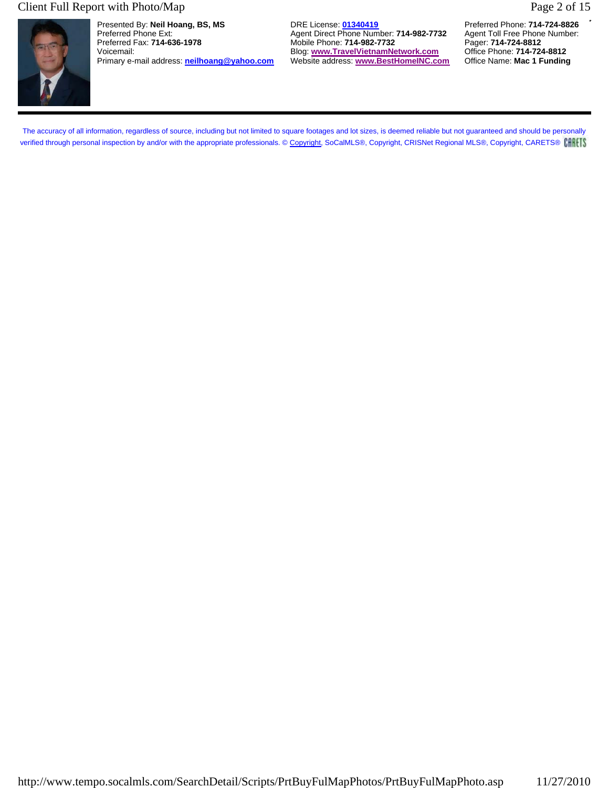#### Client Full Report with Photo/Map Page 2 of 15



Presented By: **Neil Hoang, BS, MS** DRE License: **01340419** Preferred Phone: **714-724-8826** Preferred Phone Ext: **Agent Direct Phone Number: 714-982-7732** Agent Toll Free Phone Number: **Preferred Fax: 714-636-1978** Agent Toll Free Phone Number: **Preferred Fax: 714-636-1978** Agent: **714-982-7732** Agent: **714-724-8** Primary e-mail address: **neilhoang@yahoo.com** 

Mobile Phone: **714-982-7732** Pager: **714-724-8812**<br>Blog: www.TravelVietnamNetwork.com Office Phone: 714-724-8812 Voicemail: Blog: **www.TravelVietnamNetwork.com** Office Phone: **714-724-8812**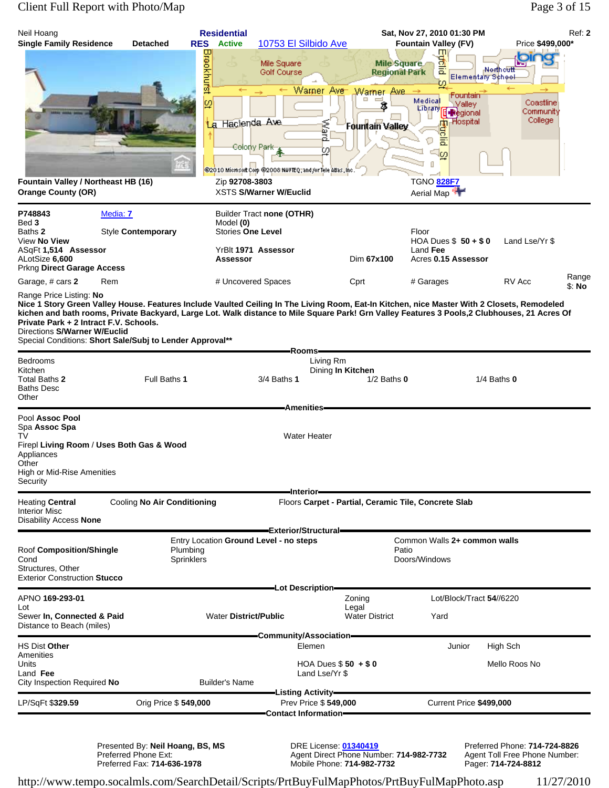### Client Full Report with Photo/Map Page 3 of 15

| Neil Hoang<br><b>Single Family Residence</b>                                                                                                                  | <b>Detached</b>                           | <b>Residential</b><br><b>RES</b> Active           | 10753 El Silbido Ave                                                                                                     |                                                                                                                          | Sat, Nov 27, 2010 01:30 PM<br><b>Fountain Valley (FV)</b><br>ΠП                                                                                                                                                                                                                             | Ref: 2<br>Price \$499,000*                     |
|---------------------------------------------------------------------------------------------------------------------------------------------------------------|-------------------------------------------|---------------------------------------------------|--------------------------------------------------------------------------------------------------------------------------|--------------------------------------------------------------------------------------------------------------------------|---------------------------------------------------------------------------------------------------------------------------------------------------------------------------------------------------------------------------------------------------------------------------------------------|------------------------------------------------|
| Fountain Valley / Northeast HB (16)                                                                                                                           |                                           | Breokhurst<br>O)<br>La<br>Zip 92708-3803          | Mile Square<br>Golf Course<br>Hacienda Ave<br>Colony Park<br>@2010 Microsoft Corp @2008 NAVTEQ, and /or Tele Atlas, Inc. | <b>Mile Square</b><br><b>Regional Park</b><br>Warner Ave<br>Wamer Ave<br>$\Box$<br>୍ଦ୍ର<br>bueyy<br>Fountain Valley<br>ω | Э<br>률<br>Elementary School<br>Fountain<br>Medical<br>Valley<br>Library<br>· <b>Regional</b><br><b>Hospital</b><br>пΠ<br>g<br>Ξ<br>١c٥<br>TGNO 828F7                                                                                                                                        | Nerthcutt<br>Coastline<br>Community<br>College |
| <b>Orange County (OR)</b>                                                                                                                                     |                                           |                                                   | <b>XSTS S/Warner W/Euclid</b>                                                                                            |                                                                                                                          | Aerial Map                                                                                                                                                                                                                                                                                  |                                                |
| P748843<br>Bed 3<br>Baths 2<br>View No View<br>ASqFt 1,514 Assessor<br>ALotSize 6,600<br>Prkng Direct Garage Access                                           | Media: 7<br>Style Contemporary            | Model (0)<br><b>Stories One Level</b><br>Assessor | Builder Tract none (OTHR)<br>YrBlt 1971 Assessor                                                                         | Dim 67x100                                                                                                               | Floor<br>HOA Dues $$50 + $0$<br>Land Fee<br>Acres 0.15 Assessor                                                                                                                                                                                                                             | Land Lse/Yr \$                                 |
| Garage, # cars 2                                                                                                                                              | Rem                                       |                                                   | # Uncovered Spaces                                                                                                       | Cprt                                                                                                                     | # Garages                                                                                                                                                                                                                                                                                   | Range<br>RV Acc<br>\$: No                      |
| Range Price Listing: No<br>Private Park + 2 Intract F.V. Schools.<br>Directions S/Warner W/Euclid<br>Special Conditions: Short Sale/Subj to Lender Approval** |                                           |                                                   | Rooms-                                                                                                                   |                                                                                                                          | Nice 1 Story Green Valley House. Features Include Vaulted Ceiling In The Living Room, Eat-In Kitchen, nice Master With 2 Closets, Remodeled<br>kichen and bath rooms, Private Backyard, Large Lot. Walk distance to Mile Square Park! Grn Valley Features 3 Pools,2 Clubhouses, 21 Acres Of |                                                |
| Bedrooms<br>Kitchen<br>Total Baths 2<br><b>Baths Desc</b><br>Other                                                                                            | Full Baths 1                              |                                                   | 3/4 Baths 1<br><b>Amenities</b>                                                                                          | Living Rm<br>Dining In Kitchen<br>$1/2$ Baths $0$                                                                        |                                                                                                                                                                                                                                                                                             | $1/4$ Baths $0$                                |
| Pool Assoc Pool<br>Spa Assoc Spa<br>TV                                                                                                                        |                                           |                                                   | <b>Water Heater</b>                                                                                                      |                                                                                                                          |                                                                                                                                                                                                                                                                                             |                                                |
| Appliances<br>Other<br>High or Mid-Rise Amenities<br>Security                                                                                                 | Firepl Living Room / Uses Both Gas & Wood |                                                   |                                                                                                                          |                                                                                                                          |                                                                                                                                                                                                                                                                                             |                                                |
| <b>Heating Central</b>                                                                                                                                        | Cooling No Air Conditioning               |                                                   | -Interior-                                                                                                               | Floors Carpet - Partial, Ceramic Tile, Concrete Slab                                                                     |                                                                                                                                                                                                                                                                                             |                                                |
| <b>Interior Misc</b><br><b>Disability Access None</b>                                                                                                         |                                           |                                                   |                                                                                                                          |                                                                                                                          |                                                                                                                                                                                                                                                                                             |                                                |
| Roof Composition/Shingle<br>Cond<br>Structures, Other<br><b>Exterior Construction Stucco</b>                                                                  |                                           | Plumbing<br>Sprinklers                            | Exterior/Structural=<br>Entry Location Ground Level - no steps                                                           |                                                                                                                          | Common Walls 2+ common walls<br>Patio<br>Doors/Windows                                                                                                                                                                                                                                      |                                                |
| APNO 169-293-01                                                                                                                                               |                                           |                                                   | -Lot Description-                                                                                                        | Zoning                                                                                                                   | Lot/Block/Tract 54//6220                                                                                                                                                                                                                                                                    |                                                |
| Lot<br>Sewer In, Connected & Paid<br>Distance to Beach (miles)                                                                                                |                                           | <b>Water District/Public</b>                      |                                                                                                                          | Legal<br><b>Water District</b>                                                                                           | Yard                                                                                                                                                                                                                                                                                        |                                                |
| <b>HS Dist Other</b>                                                                                                                                          |                                           |                                                   | -Community/Association-<br>Elemen                                                                                        |                                                                                                                          | Junior                                                                                                                                                                                                                                                                                      | High Sch                                       |
| Amenities<br>Units<br>Land Fee<br>City Inspection Required No                                                                                                 |                                           | <b>Builder's Name</b>                             |                                                                                                                          | HOA Dues $$50 + $0$<br>Land Lse/Yr \$                                                                                    |                                                                                                                                                                                                                                                                                             | Mello Roos No                                  |
| LP/SqFt \$329.59                                                                                                                                              | Orig Price \$549,000                      |                                                   | -Listing Activity—<br>Prev Price \$549,000                                                                               |                                                                                                                          | Current Price \$499,000                                                                                                                                                                                                                                                                     |                                                |
|                                                                                                                                                               |                                           |                                                   | Contact Information-                                                                                                     |                                                                                                                          |                                                                                                                                                                                                                                                                                             |                                                |

Presented By: **Neil Hoang, BS, MS** DRE License: **01340419** Preferred Phone: **714-724-8826** Preferred Phone Ext: Agent Direct Phone Number: **714-982-7732** Agent Toll Free Phone Number: Preferred Fax: **714-636-1978** Mobile Phone: **714-982-7732** Pager: **714-724-8812**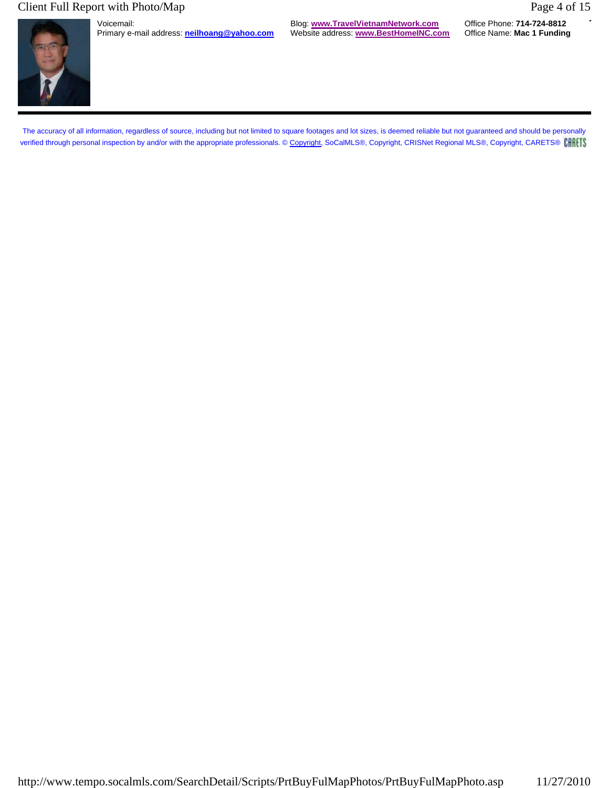### Client Full Report with Photo/Map Page 4 of 15



Primary e-mail address: **neilhoang@yahoo.com** 

Voicemail: Blog: **www.TravelVietnamNetwork.com** Office Phone: **714-724-8812**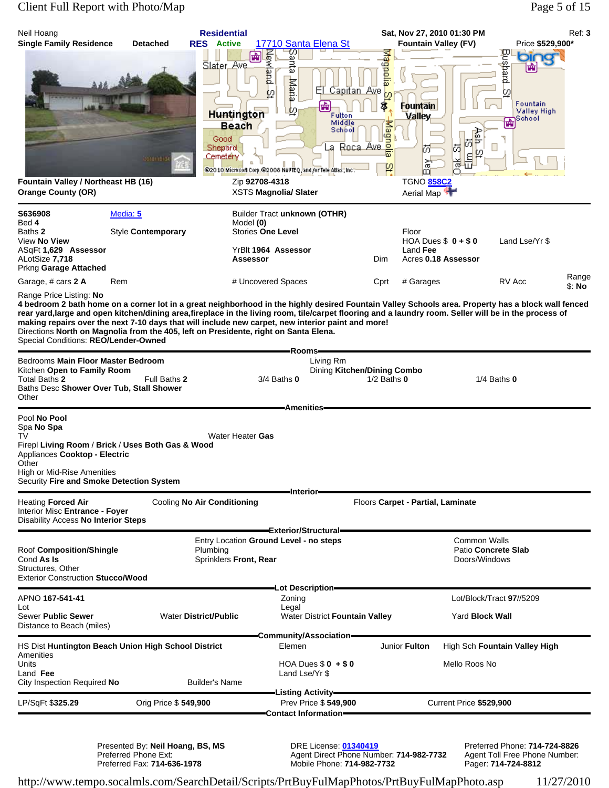### Client Full Report with Photo/Map Page 5 of 15

| Neil Hoang<br><b>Single Family Residence</b><br>Fountain Valley / Northeast HB (16)<br><b>Orange County (OR)</b>                                                                                                                                                                                                                                                                                                                                                                                                                                                                                 | <b>Detached</b><br><b>TOTa</b> / TER | <b>Residential</b><br><b>RES</b> Active<br>Newland<br>圃<br>Slater Ave<br>φ<br><b>Huntington</b><br><b>Beach</b><br>Good<br>Shepard<br>Cemetery<br>Zip 92708-4318<br><b>XSTS Magnolia/ Slater</b> | 17710 Santa Elena St<br>Santa<br>Maria<br>El Capitan Ave<br>喦<br>ω<br>Fulton<br>Middle<br>Schbol<br>٠a<br>@2010 Microsoft Corp.@2008 NAVTEQ, and /or Tele Adas, Inc.: | Magnolia<br>ĊΟ<br>Ś<br><b>Alagin</b><br>Roca Ave <b>E</b><br>P | Sat, Nov 27, 2010 01:30 PM<br><b>Fountain Valley (FV)</b><br>Fountain<br>Valley<br>M<br>の<br>ťσ<br>Ø<br>ನೆ<br>点<br>łП<br>m<br><b>TGNO 858C2</b><br>Aerial Map | Price \$529,900*<br><b>Busbard</b><br>Dir<br>의<br>Fountain<br>Valley High<br><sub>1</sub> School.<br>喦 | Ref: 3          |
|--------------------------------------------------------------------------------------------------------------------------------------------------------------------------------------------------------------------------------------------------------------------------------------------------------------------------------------------------------------------------------------------------------------------------------------------------------------------------------------------------------------------------------------------------------------------------------------------------|--------------------------------------|--------------------------------------------------------------------------------------------------------------------------------------------------------------------------------------------------|-----------------------------------------------------------------------------------------------------------------------------------------------------------------------|----------------------------------------------------------------|---------------------------------------------------------------------------------------------------------------------------------------------------------------|--------------------------------------------------------------------------------------------------------|-----------------|
| S636908<br>Bed 4<br>Baths 2<br>View No View<br>ASqFt 1,629 Assessor<br>ALotSize 7,718<br>Prkng Garage Attached                                                                                                                                                                                                                                                                                                                                                                                                                                                                                   | Media: 5<br>Style Contemporary       | Model (0)<br><b>Stories One Level</b><br>YrBlt 1964 Assessor<br><b>Assessor</b>                                                                                                                  | Builder Tract unknown (OTHR)                                                                                                                                          | Dim                                                            | Floor<br>HOA Dues $$0 + $0$<br>Land Fee<br>Acres 0.18 Assessor                                                                                                | Land Lse/Yr \$                                                                                         |                 |
| Garage, # cars 2 A<br>Range Price Listing: No<br>4 bedroom 2 bath home on a corner lot in a great neighborhood in the highly desired Fountain Valley Schools area. Property has a block wall fenced<br>rear yard,large and open kitchen/dining area,fireplace in the living room, tile/carpet flooring and a laundry room. Seller will be in the process of<br>making repairs over the next 7-10 days that will include new carpet, new interior paint and more!<br>Directions North on Magnolia from the 405, left on Presidente, right on Santa Elena.<br>Special Conditions: REO/Lender-Owned | Rem                                  | # Uncovered Spaces                                                                                                                                                                               |                                                                                                                                                                       | Cprt                                                           | # Garages                                                                                                                                                     | RV Acc                                                                                                 | Range<br>\$: No |
| Bedrooms Main Floor Master Bedroom<br>Kitchen Open to Family Room<br>Total Baths 2<br>Baths Desc Shower Over Tub, Stall Shower<br>Other                                                                                                                                                                                                                                                                                                                                                                                                                                                          | Full Baths 2                         |                                                                                                                                                                                                  | -Rooms-<br>Living Rm<br>Dining Kitchen/Dining Combo<br>3/4 Baths 0                                                                                                    | $1/2$ Baths $0$                                                |                                                                                                                                                               | $1/4$ Baths $0$                                                                                        |                 |
| Pool No Pool<br>Spa No Spa<br>TV<br>Firepl Living Room / Brick / Uses Both Gas & Wood<br>Appliances Cooktop - Electric<br>Other<br>High or Mid-Rise Amenities<br>Security Fire and Smoke Detection System                                                                                                                                                                                                                                                                                                                                                                                        |                                      | Water Heater Gas                                                                                                                                                                                 | <b>Amenities</b>                                                                                                                                                      |                                                                |                                                                                                                                                               |                                                                                                        |                 |
| <b>Heating Forced Air</b><br>Interior Misc Entrance - Foyer<br>Disability Access No Interior Steps                                                                                                                                                                                                                                                                                                                                                                                                                                                                                               |                                      | Cooling No Air Conditioning                                                                                                                                                                      | Interior-<br>Exterior/Structural=                                                                                                                                     |                                                                | Floors Carpet - Partial, Laminate                                                                                                                             |                                                                                                        |                 |
| Roof Composition/Shingle<br>Cond As Is<br>Structures, Other<br><b>Exterior Construction Stucco/Wood</b>                                                                                                                                                                                                                                                                                                                                                                                                                                                                                          |                                      | Entry Location Ground Level - no steps<br>Plumbing<br>Sprinklers Front, Rear                                                                                                                     |                                                                                                                                                                       |                                                                | <b>Common Walls</b><br>Doors/Windows                                                                                                                          | Patio Concrete Slab                                                                                    |                 |
| APNO 167-541-41<br>Lot<br>Sewer Public Sewer<br>Distance to Beach (miles)                                                                                                                                                                                                                                                                                                                                                                                                                                                                                                                        |                                      | <b>Water District/Public</b>                                                                                                                                                                     | Lot Description <del>–</del><br>Zoning<br>Legal<br>Water District Fountain Valley<br>Community/Association=                                                           |                                                                | Yard Block Wall                                                                                                                                               | Lot/Block/Tract 97//5209                                                                               |                 |
| HS Dist Huntington Beach Union High School District<br>Amenities<br>Units<br>Land Fee<br>City Inspection Required No                                                                                                                                                                                                                                                                                                                                                                                                                                                                             |                                      | <b>Builder's Name</b>                                                                                                                                                                            | Elemen<br>HOA Dues $$0 + $0$<br>Land Lse/Yr \$                                                                                                                        | Junior Fulton                                                  | Mello Roos No                                                                                                                                                 | High Sch Fountain Valley High                                                                          |                 |
| LP/SqFt \$325.29                                                                                                                                                                                                                                                                                                                                                                                                                                                                                                                                                                                 | Orig Price \$549,900                 |                                                                                                                                                                                                  | -Listing Activity-<br>Prev Price \$549,900<br><b>Contact Information-</b>                                                                                             |                                                                | Current Price \$529,900                                                                                                                                       |                                                                                                        |                 |

Presented By: **Neil Hoang, BS, MS** DRE License: **01340419** Preferred Phone: **714-724-8826** Preferred Phone Ext: Agent Direct Phone Number: **714-982-7732** Agent Toll Free Phone Number: Preferred Fax: **714-636-1978** Mobile Phone: **714-982-7732** Pager: **714-724-8812**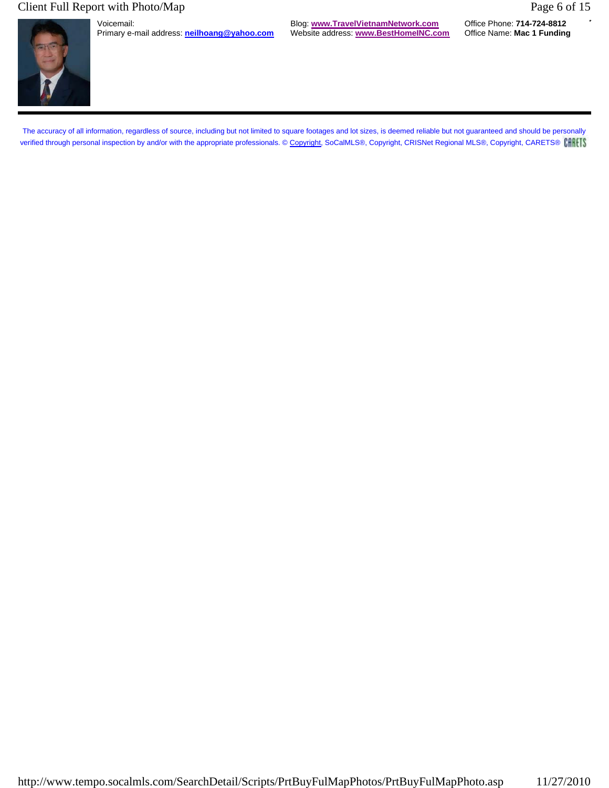### Client Full Report with Photo/Map Page 6 of 15



Primary e-mail address: **neilhoang@yahoo.com** 

Voicemail: Blog: **www.TravelVietnamNetwork.com** Office Phone: **714-724-8812**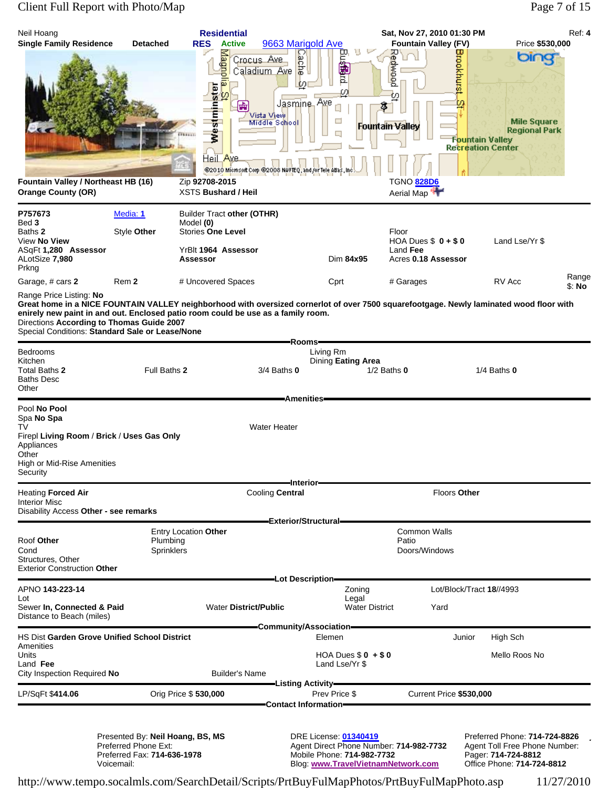### Client Full Report with Photo/Map Page 7 of 15

| Neil Hoang<br><b>Single Family Residence</b>                                                                                                                                                                                                                                                                                                                                                   | <b>Detached</b>                                                                         | <b>RES</b>                                                   | <b>Residential</b><br><b>Active</b>                    |                                                                                                                                             | 9663 Marigold Ave                          | u                                                                                                                                    |                                              | Sat, Nov 27, 2010 01:30 PM<br><b>Fountain Valley (FV)</b> |                                            | Price \$530,000                                                                                                     | Ref: 4          |
|------------------------------------------------------------------------------------------------------------------------------------------------------------------------------------------------------------------------------------------------------------------------------------------------------------------------------------------------------------------------------------------------|-----------------------------------------------------------------------------------------|--------------------------------------------------------------|--------------------------------------------------------|---------------------------------------------------------------------------------------------------------------------------------------------|--------------------------------------------|--------------------------------------------------------------------------------------------------------------------------------------|----------------------------------------------|-----------------------------------------------------------|--------------------------------------------|---------------------------------------------------------------------------------------------------------------------|-----------------|
| Fountain Valley / Northeast HB (16)<br><b>Orange County (OR)</b>                                                                                                                                                                                                                                                                                                                               |                                                                                         | Zip 92708-2015<br><b>XSTS Bushard / Heil</b>                 | Magno<br>ÞΣ<br>a St<br>apsquiuseam<br><u>Heil Av</u> e | Caladium Ave <b>a</b><br>Caladium Ave <b>a</b><br>Vista View<br>Middle School<br>@2010 Microsoft Corp @2008 NAVTEQ, and for Tele Atlas, Inc | Jasmine, Ave                               | 四海回<br>ω<br>⊏                                                                                                                        | Redwood<br>O.<br>3<br><b>Fountain Valley</b> | <b>TGNO 828D6</b><br>Aerial Map                           | cookhurs<br>F <mark>ou</mark> ntain Valley | bing<br><b>Mile Square</b><br><b>Regional Park</b><br><b>Recreation Center</b>                                      |                 |
| P757673<br>Bed 3                                                                                                                                                                                                                                                                                                                                                                               | Media: 1                                                                                | <b>Builder Tract other (OTHR)</b>                            |                                                        |                                                                                                                                             |                                            |                                                                                                                                      |                                              |                                                           |                                            |                                                                                                                     |                 |
| Baths <b>2</b><br>View <b>No View</b><br>ASqFt 1,280 Assessor                                                                                                                                                                                                                                                                                                                                  | Style Other                                                                             | Model (0)<br><b>Stories One Level</b><br>YrBlt 1964 Assessor |                                                        |                                                                                                                                             |                                            |                                                                                                                                      | Floor<br>Land Fee                            | HOA Dues $$0 + $0$                                        |                                            | Land Lse/Yr \$                                                                                                      |                 |
| ALotSize <b>7,980</b><br>Prkng                                                                                                                                                                                                                                                                                                                                                                 |                                                                                         | <b>Assessor</b>                                              |                                                        |                                                                                                                                             |                                            | Dim 84x95                                                                                                                            |                                              | Acres 0.18 Assessor                                       |                                            |                                                                                                                     |                 |
| Garage, # cars 2                                                                                                                                                                                                                                                                                                                                                                               | Rem 2                                                                                   | # Uncovered Spaces                                           |                                                        |                                                                                                                                             |                                            | Cprt                                                                                                                                 | # Garages                                    |                                                           |                                            | RV Acc                                                                                                              | Range<br>\$: No |
| Range Price Listing: No<br>Great home in a NICE FOUNTAIN VALLEY neighborhood with oversized cornerlot of over 7500 squarefootgage. Newly laminated wood floor with<br>enirely new paint in and out. Enclosed patio room could be use as a family room.<br>Directions According to Thomas Guide 2007<br>Special Conditions: Standard Sale or Lease/None<br>Bedrooms<br>Kitchen<br>Total Baths 2 | Full Baths 2                                                                            |                                                              |                                                        | $3/4$ Baths $0$                                                                                                                             | Rooms-                                     | Living Rm<br>Dining Eating Area                                                                                                      | $1/2$ Baths $0$                              |                                                           |                                            | $1/4$ Baths $0$                                                                                                     |                 |
| Baths Desc<br>Other                                                                                                                                                                                                                                                                                                                                                                            |                                                                                         |                                                              |                                                        |                                                                                                                                             | <b>Amenities</b>                           |                                                                                                                                      |                                              |                                                           |                                            |                                                                                                                     |                 |
| Pool No Pool<br>Spa <b>No Spa</b><br>TV<br>Firepl Living Room / Brick / Uses Gas Only<br>Appliances<br>Other<br><b>High or Mid-Rise Amenities</b><br>Security                                                                                                                                                                                                                                  |                                                                                         |                                                              |                                                        | <b>Water Heater</b>                                                                                                                         | –Interior—                                 |                                                                                                                                      |                                              |                                                           |                                            |                                                                                                                     |                 |
| Heating Forced Air                                                                                                                                                                                                                                                                                                                                                                             |                                                                                         |                                                              |                                                        | Cooling Central                                                                                                                             |                                            |                                                                                                                                      |                                              |                                                           | Floors Other                               |                                                                                                                     |                 |
| Interior Misc<br>Disability Access Other - see remarks                                                                                                                                                                                                                                                                                                                                         |                                                                                         |                                                              |                                                        |                                                                                                                                             | Exterior/Structural=                       |                                                                                                                                      |                                              |                                                           |                                            |                                                                                                                     |                 |
| Roof Other<br>Cond<br>Structures, Other<br><b>Exterior Construction Other</b>                                                                                                                                                                                                                                                                                                                  | Plumbing<br>Sprinklers                                                                  | Entry Location Other                                         |                                                        |                                                                                                                                             |                                            |                                                                                                                                      | Patio                                        | Common Walls<br>Doors/Windows                             |                                            |                                                                                                                     |                 |
| APNO 143-223-14                                                                                                                                                                                                                                                                                                                                                                                |                                                                                         |                                                              |                                                        |                                                                                                                                             | -Lot Description-                          | Zoning                                                                                                                               |                                              |                                                           |                                            | Lot/Block/Tract 18//4993                                                                                            |                 |
| Lot<br>Sewer In, Connected & Paid<br>Distance to Beach (miles)                                                                                                                                                                                                                                                                                                                                 |                                                                                         |                                                              | <b>Water District/Public</b>                           |                                                                                                                                             |                                            | Legal<br><b>Water District</b>                                                                                                       |                                              | Yard                                                      |                                            |                                                                                                                     |                 |
| HS Dist Garden Grove Unified School District                                                                                                                                                                                                                                                                                                                                                   |                                                                                         |                                                              |                                                        | Community/Association-                                                                                                                      |                                            | Elemen                                                                                                                               |                                              |                                                           | Junior                                     | High Sch                                                                                                            |                 |
| Amenities<br>Units<br>Land <b>Fee</b><br>City Inspection Required No                                                                                                                                                                                                                                                                                                                           |                                                                                         |                                                              | Builder's Name                                         |                                                                                                                                             |                                            | HOA Dues $$0 + $0$<br>Land Lse/Yr \$                                                                                                 |                                              |                                                           |                                            | Mello Roos No                                                                                                       |                 |
| LP/SqFt \$414.06                                                                                                                                                                                                                                                                                                                                                                               |                                                                                         | Orig Price \$530,000                                         |                                                        |                                                                                                                                             | -Listing Activity—<br>Contact Information- | Prev Price \$                                                                                                                        |                                              | Current Price \$530,000                                   |                                            |                                                                                                                     |                 |
| Voicemail:                                                                                                                                                                                                                                                                                                                                                                                     | Presented By: Neil Hoang, BS, MS<br>Preferred Phone Ext:<br>Preferred Fax: 714-636-1978 |                                                              |                                                        |                                                                                                                                             |                                            | DRE License: 01340419<br>Agent Direct Phone Number: 714-982-7732<br>Mobile Phone: 714-982-7732<br>Blog: www.TravelVietnamNetwork.com |                                              |                                                           |                                            | Preferred Phone: 714-724-8826<br>Agent Toll Free Phone Number:<br>Pager: 714-724-8812<br>Office Phone: 714-724-8812 |                 |

http://www.tempo.socalmls.com/SearchDetail/Scripts/PrtBuyFulMapPhotos/PrtBuyFulMapPhoto.asp 11/27/2010

Blog: **www.TravelVietnamNetwork.com**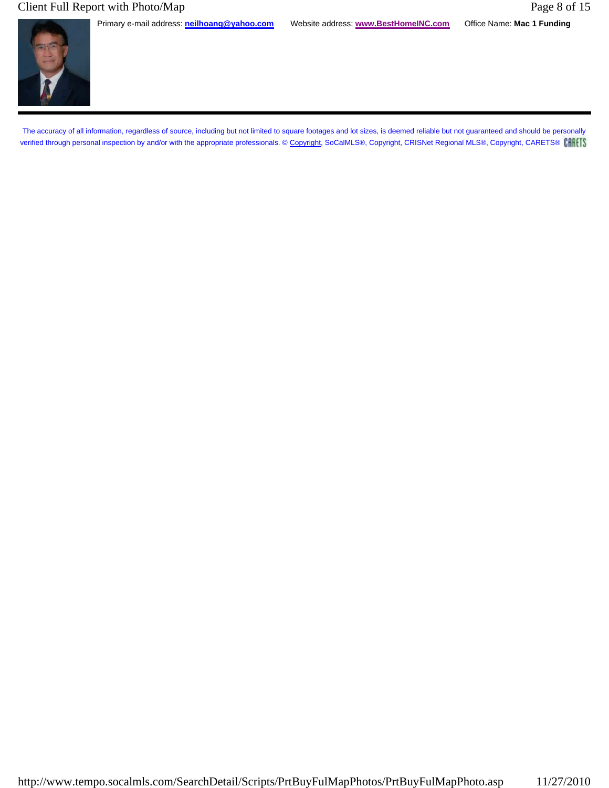### Client Full Report with Photo/Map Page 8 of 15

Primary e-mail address: **neilhoang@yahoo.com** Website address: **www.BestHomeINC.com** Office Name: **Mac 1 Funding**

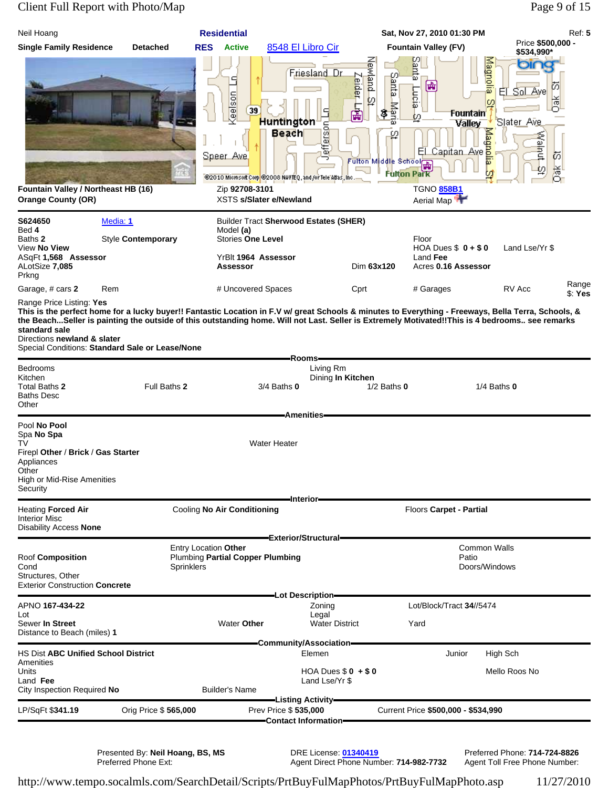### Client Full Report with Photo/Map Page 9 of 15

| Neil Hoang                                                                                                                                                                            |                      | <b>Residential</b>                        |                                                                                                                                                   |                                                                     |                                                                                           | Sat, Nov 27, 2010 01:30 PM                                                                      |                                                                                                | Ref: 5           |
|---------------------------------------------------------------------------------------------------------------------------------------------------------------------------------------|----------------------|-------------------------------------------|---------------------------------------------------------------------------------------------------------------------------------------------------|---------------------------------------------------------------------|-------------------------------------------------------------------------------------------|-------------------------------------------------------------------------------------------------|------------------------------------------------------------------------------------------------|------------------|
| <b>Single Family Residence</b>                                                                                                                                                        | <b>Detached</b>      | <b>RES</b>                                | <b>Active</b>                                                                                                                                     | 8548 El Libro Cir                                                   | <b>Fountain Valley (FV)</b>                                                               |                                                                                                 | Price \$500,000 -<br>\$534,990*                                                                |                  |
| Fountain Valley / Northeast HB (16)<br><b>Orange County (OR)</b>                                                                                                                      |                      | kelson<br>Speer Ave                       | 9<br>39<br><b>Huntington</b><br>Beach<br>@2010 Microsoft Corp @2008 NAVIEQ, and /or Tele Allas, Inc.<br>Zip 92708-3101<br>XSTS s/Slater e/Newland | Newland St<br>Friesland Dr<br>Zeider Lift<br>∃<br>₫<br>efferso<br>⊃ | Santa<br>Santa<br>Lucia-<br>Maria<br>ε<br>ω<br>Fulton Middle School<br><b>Fulton Park</b> | Magnolia<br>噛<br>Fountain<br><b>Valley</b><br>El Capitan Ave<br><b>TGNO 858B1</b><br>Aerial Map | ŮΟ<br>Sol Aye<br>EI<br>ă<br>ΙØ<br>'S <u>l</u> at <u>er Ave</u><br>Malput<br>闳<br>jak<br>O<br>⊵ |                  |
| S624650                                                                                                                                                                               | Media: 1             |                                           | <b>Builder Tract Sherwood Estates (SHER)</b>                                                                                                      |                                                                     |                                                                                           |                                                                                                 |                                                                                                |                  |
| Bed 4                                                                                                                                                                                 |                      | Model (a)                                 |                                                                                                                                                   |                                                                     |                                                                                           |                                                                                                 |                                                                                                |                  |
| Baths 2<br>View No View                                                                                                                                                               | Style Contemporary   |                                           | <b>Stories One Level</b>                                                                                                                          |                                                                     | Floor                                                                                     | HOA Dues $$0 + $0$                                                                              | Land Lse/Yr \$                                                                                 |                  |
| ASqFt 1,568 Assessor<br>ALotSize 7,085                                                                                                                                                |                      |                                           | YrBlt 1964 Assessor<br>Assessor                                                                                                                   | Dim 63x120                                                          |                                                                                           | Land Fee<br>Acres 0.16 Assessor                                                                 |                                                                                                |                  |
| Prkng                                                                                                                                                                                 |                      |                                           |                                                                                                                                                   |                                                                     |                                                                                           |                                                                                                 |                                                                                                |                  |
| Garage, # cars 2<br>Range Price Listing: Yes                                                                                                                                          | Rem                  |                                           | # Uncovered Spaces                                                                                                                                | Cprt                                                                |                                                                                           | # Garages                                                                                       | RV Acc                                                                                         | Range<br>\$: Yes |
| standard sale<br>Directions newland & slater<br>Special Conditions: Standard Sale or Lease/None<br>Bedrooms<br>Kitchen<br>Total Baths 2<br><b>Baths Desc</b><br>Other<br>Pool No Pool | Full Baths 2         |                                           | $3/4$ Baths $0$                                                                                                                                   | -Rooms-<br>Living Rm<br>Dining In Kitchen<br><b>Amenities-</b>      | $1/2$ Baths $0$                                                                           |                                                                                                 | $1/4$ Baths $0$                                                                                |                  |
| Spa No Spa<br>TV<br>Firepl Other / Brick / Gas Starter<br>Appliances<br>Other<br>High or Mid-Rise Amenities<br>Security                                                               |                      |                                           | <b>Water Heater</b>                                                                                                                               | -Interior-                                                          |                                                                                           |                                                                                                 |                                                                                                |                  |
| <b>Heating Forced Air</b><br><b>Interior Misc</b><br>Disability Access <b>None</b>                                                                                                    |                      | Cooling No Air Conditioning               |                                                                                                                                                   | <b>Exterior/Structural</b>                                          |                                                                                           | Floors Carpet - Partial                                                                         |                                                                                                |                  |
| <b>Roof Composition</b><br>Cond<br>Structures, Other<br><b>Exterior Construction Concrete</b>                                                                                         |                      | Entry Location Other<br><b>Sprinklers</b> | <b>Plumbing Partial Copper Plumbing</b>                                                                                                           |                                                                     |                                                                                           | Common Walls<br>Patio<br>Doors/Windows                                                          |                                                                                                |                  |
| APNO 167-434-22                                                                                                                                                                       |                      |                                           |                                                                                                                                                   | -Lot Description-<br>Zoning                                         |                                                                                           | Lot/Block/Tract 34//5474                                                                        |                                                                                                |                  |
| Lot<br>Sewer In Street<br>Distance to Beach (miles) 1                                                                                                                                 |                      |                                           | <b>Water Other</b>                                                                                                                                | Legal<br><b>Water District</b>                                      | Yard                                                                                      |                                                                                                 |                                                                                                |                  |
|                                                                                                                                                                                       |                      |                                           |                                                                                                                                                   | Community/Association=                                              |                                                                                           |                                                                                                 |                                                                                                |                  |
| <b>HS Dist ABC Unified School District</b><br>Amenities<br>Units<br>Land Fee                                                                                                          |                      |                                           |                                                                                                                                                   | Elemen<br>HOA Dues $$0 + $0$                                        |                                                                                           | Junior                                                                                          | High Sch<br>Mello Roos No                                                                      |                  |
| City Inspection Required No                                                                                                                                                           |                      | <b>Builder's Name</b>                     |                                                                                                                                                   | Land Lse/Yr \$                                                      |                                                                                           |                                                                                                 |                                                                                                |                  |
| LP/SqFt \$341.19                                                                                                                                                                      | Orig Price \$565,000 |                                           | Prev Price \$535,000                                                                                                                              | <del>–</del> Listing Activity <del>–</del>                          |                                                                                           | Current Price \$500,000 - \$534,990                                                             |                                                                                                |                  |
|                                                                                                                                                                                       |                      |                                           |                                                                                                                                                   | -Contact Information-                                               |                                                                                           |                                                                                                 |                                                                                                |                  |
|                                                                                                                                                                                       |                      |                                           |                                                                                                                                                   |                                                                     |                                                                                           |                                                                                                 |                                                                                                |                  |

Presented By: **Neil Hoang, BS, MS** DRE License: **01340419** Preferred Phone: **714-724-8826**

Preferred Phone Ext: Agent Direct Phone Number: **714-982-7732** Agent Toll Free Phone Number: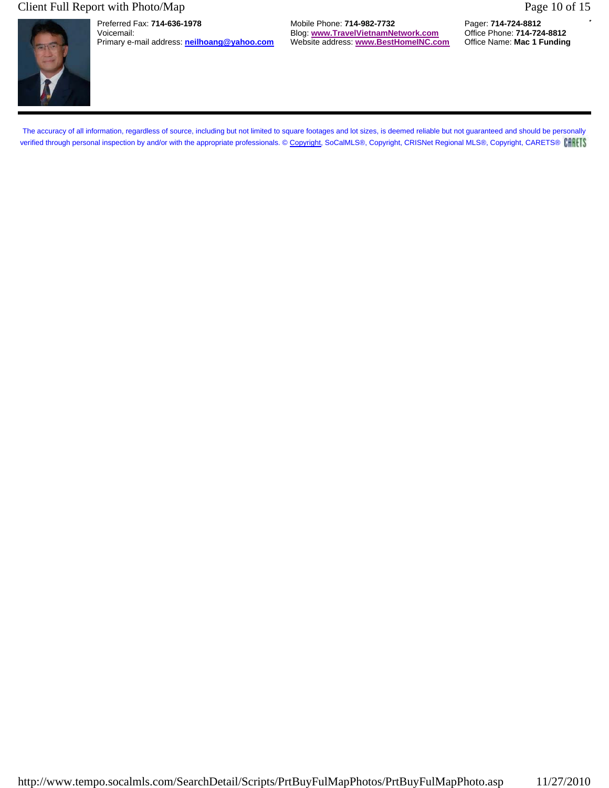# Client Full Report with Photo/Map Page 10 of 15

Preferred Fax: **714-636-1978** Mobile Phone: **714-982-7732** Pager: **714-724-8812** Blog: **www.TravelVietnamNetwork.com** Primary e-mail address: **neilhoang@yahoo.com** Website address: **www.BestHomeINC.com** Office Name: **Mac 1 Funding**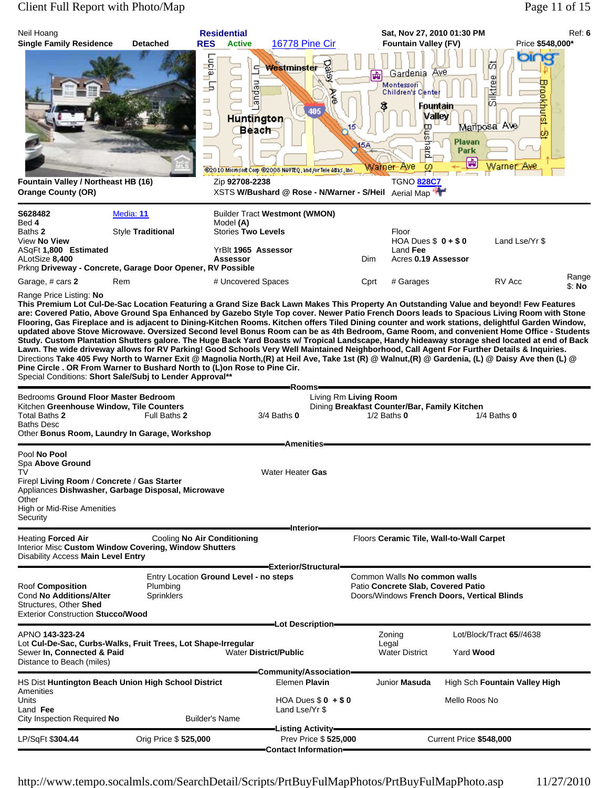# Client Full Report with Photo/Map Page 11 of 15

| Neil Hoang<br><b>Single Family Residence</b>                                                                                                                                                                                                                                                                                                                                                                                                                                                                                                                                                                                                                                                                                                                                                                                                                                                                                                                                                                                                                                                                                                                                     | <b>Detached</b>                | <b>Residential</b><br><b>RES</b><br><b>Active</b>                                                                                                         | <b>16778 Pine Cir</b>                                                                          |                      | Sat, Nov 27, 2010 01:30 PM<br><b>Fountain Valley (FV)</b>                                                            |                                                      | Ref: 6<br>Price \$548,000* |
|----------------------------------------------------------------------------------------------------------------------------------------------------------------------------------------------------------------------------------------------------------------------------------------------------------------------------------------------------------------------------------------------------------------------------------------------------------------------------------------------------------------------------------------------------------------------------------------------------------------------------------------------------------------------------------------------------------------------------------------------------------------------------------------------------------------------------------------------------------------------------------------------------------------------------------------------------------------------------------------------------------------------------------------------------------------------------------------------------------------------------------------------------------------------------------|--------------------------------|-----------------------------------------------------------------------------------------------------------------------------------------------------------|------------------------------------------------------------------------------------------------|----------------------|----------------------------------------------------------------------------------------------------------------------|------------------------------------------------------|----------------------------|
| Fountain Valley / Northeast HB (16)                                                                                                                                                                                                                                                                                                                                                                                                                                                                                                                                                                                                                                                                                                                                                                                                                                                                                                                                                                                                                                                                                                                                              |                                | $\mathsf{Lug}^{\mathsf{int}}$<br>s<br><b>Lepue</b><br>玉<br>$\overline{\phantom{a}}$<br>專<br><b>Huntington</b><br>$\Box$<br><b>Beach</b><br>Zip 92708-2238 | Westminster<br><b>Ave</b><br>405<br>@2010 Microsoft Corp @2008 NAVTEQ, and/or Tele Atlas, Inc. | 壷<br>5А<br>Wamer-Ave | Gardenia Ave<br>Montessofi<br>Children's Cente<br><b>Fountain</b><br>Valley<br>ш<br>5<br>⋾<br>ω<br><b>TGNO 828C7</b> | 岗<br>Silktree<br>Maliposa Ave<br>Plavan<br>Park<br>喦 | ω<br>rockhutst -8          |
| <b>Orange County (OR)</b>                                                                                                                                                                                                                                                                                                                                                                                                                                                                                                                                                                                                                                                                                                                                                                                                                                                                                                                                                                                                                                                                                                                                                        |                                |                                                                                                                                                           | XSTS W/Bushard @ Rose - N/Warner - S/Heil Aerial Map                                           |                      |                                                                                                                      |                                                      |                            |
| S628482<br>Bed 4<br>Baths 2<br>View No View<br>ASqFt 1,800 Estimated<br>ALotSize 8,400<br>Prkng Driveway - Concrete, Garage Door Opener, RV Possible                                                                                                                                                                                                                                                                                                                                                                                                                                                                                                                                                                                                                                                                                                                                                                                                                                                                                                                                                                                                                             | Media: 11<br>Style Traditional | Model (A)<br><b>Stories Two Levels</b><br>YrBlt 1965 Assessor<br><b>Assessor</b>                                                                          | <b>Builder Tract Westmont (WMON)</b>                                                           | <b>Dim</b>           | Floor<br>HOA Dues $$0 + $0$<br>Land Fee<br>Acres 0.19 Assessor                                                       | Land Lse/Yr \$                                       |                            |
| Garage, # cars 2                                                                                                                                                                                                                                                                                                                                                                                                                                                                                                                                                                                                                                                                                                                                                                                                                                                                                                                                                                                                                                                                                                                                                                 | Rem                            | # Uncovered Spaces                                                                                                                                        |                                                                                                | Cprt                 | # Garages                                                                                                            | RV Acc                                               | Range<br>\$: No            |
| This Premium Lot Cul-De-Sac Location Featuring a Grand Size Back Lawn Makes This Property An Outstanding Value and beyond! Few Features<br>are: Covered Patio, Above Ground Spa Enhanced by Gazebo Style Top cover. Newer Patio French Doors leads to Spacious Living Room with Stone<br>Flooring, Gas Fireplace and is adjacent to Dining-Kitchen Rooms. Kitchen offers Tiled Dining counter and work stations, delightful Garden Window,<br>updated above Stove Microwave. Oversized Second level Bonus Room can be as 4th Bedroom, Game Room, and convenient Home Office - Students<br>Study. Custom Plantation Shutters galore. The Huge Back Yard Boasts w/ Tropical Landscape, Handy hideaway storage shed located at end of Back<br>Lawn. The wide driveway allows for RV Parking! Good Schools Very Well Maintained Neighborhood, Call Agent For Further Details & Inquiries.<br>Directions Take 405 Fwy North to Warner Exit @ Magnolia North,(R) at Heil Ave, Take 1st (R) @ Walnut,(R) @ Gardenia, (L) @ Daisy Ave then (L) @<br>Pine Circle . OR From Warner to Bushard North to (L)on Rose to Pine Cir.<br>Special Conditions: Short Sale/Subj to Lender Approval** |                                |                                                                                                                                                           | Rooms <del>-</del>                                                                             |                      |                                                                                                                      |                                                      |                            |
| Bedrooms Ground Floor Master Bedroom<br>Kitchen Greenhouse Window, Tile Counters<br>Total Baths 2<br><b>Baths Desc</b><br>Other Bonus Room, Laundry In Garage, Workshop                                                                                                                                                                                                                                                                                                                                                                                                                                                                                                                                                                                                                                                                                                                                                                                                                                                                                                                                                                                                          | Full Baths 2                   |                                                                                                                                                           | Living Rm Living Room<br>$3/4$ Baths $0$                                                       | $1/2$ Baths $0$      | Dining Breakfast Counter/Bar, Family Kitchen                                                                         | $1/4$ Baths $0$                                      |                            |
| Pool No Pool<br>Spa Above Ground<br>TV<br>Firepl Living Room / Concrete / Gas Starter<br>Appliances Dishwasher, Garbage Disposal, Microwave<br>Other<br>High or Mid-Rise Amenities<br>Security                                                                                                                                                                                                                                                                                                                                                                                                                                                                                                                                                                                                                                                                                                                                                                                                                                                                                                                                                                                   |                                |                                                                                                                                                           | <b>Amenities</b><br>Water Heater Gas                                                           |                      |                                                                                                                      |                                                      |                            |
| <b>Heating Forced Air</b><br>Interior Misc Custom Window Covering, Window Shutters<br>Disability Access Main Level Entry                                                                                                                                                                                                                                                                                                                                                                                                                                                                                                                                                                                                                                                                                                                                                                                                                                                                                                                                                                                                                                                         |                                | Cooling No Air Conditioning                                                                                                                               | -Interior-                                                                                     |                      | Floors Ceramic Tile, Wall-to-Wall Carpet                                                                             |                                                      |                            |
| <b>Roof Composition</b><br>Cond No Additions/Alter<br>Structures, Other Shed<br><b>Exterior Construction Stucco/Wood</b>                                                                                                                                                                                                                                                                                                                                                                                                                                                                                                                                                                                                                                                                                                                                                                                                                                                                                                                                                                                                                                                         | Plumbing<br><b>Sprinklers</b>  | Entry Location Ground Level - no steps                                                                                                                    | -Exterior/Structural-                                                                          |                      | Common Walls No common walls<br>Patio Concrete Slab, Covered Patio                                                   | Doors/Windows French Doors, Vertical Blinds          |                            |
| APNO 143-323-24<br>Lot Cul-De-Sac, Curbs-Walks, Fruit Trees, Lot Shape-Irregular<br>Sewer In, Connected & Paid<br>Distance to Beach (miles)                                                                                                                                                                                                                                                                                                                                                                                                                                                                                                                                                                                                                                                                                                                                                                                                                                                                                                                                                                                                                                      |                                |                                                                                                                                                           | =Lot Description=<br><b>Water District/Public</b>                                              | Zoning<br>Legal      | <b>Water District</b>                                                                                                | Lot/Block/Tract 65//4638<br>Yard <b>Wood</b>         |                            |
| HS Dist Huntington Beach Union High School District<br>Amenities<br>Units<br>Land Fee<br>City Inspection Required No                                                                                                                                                                                                                                                                                                                                                                                                                                                                                                                                                                                                                                                                                                                                                                                                                                                                                                                                                                                                                                                             |                                | <b>Builder's Name</b>                                                                                                                                     | -Community/Association-<br>Elemen Plavin<br>$HOA$ Dues $$0 + $0$<br>Land Lse/Yr \$             |                      | Junior Masuda                                                                                                        | High Sch Fountain Valley High<br>Mello Roos No       |                            |
| LP/SqFt \$304.44                                                                                                                                                                                                                                                                                                                                                                                                                                                                                                                                                                                                                                                                                                                                                                                                                                                                                                                                                                                                                                                                                                                                                                 | Orig Price \$525,000           |                                                                                                                                                           | Listing Activity <del>—</del><br>Prev Price \$525,000                                          |                      |                                                                                                                      | Current Price \$548,000                              |                            |
|                                                                                                                                                                                                                                                                                                                                                                                                                                                                                                                                                                                                                                                                                                                                                                                                                                                                                                                                                                                                                                                                                                                                                                                  |                                |                                                                                                                                                           | <b>Contact Information-</b>                                                                    |                      |                                                                                                                      |                                                      |                            |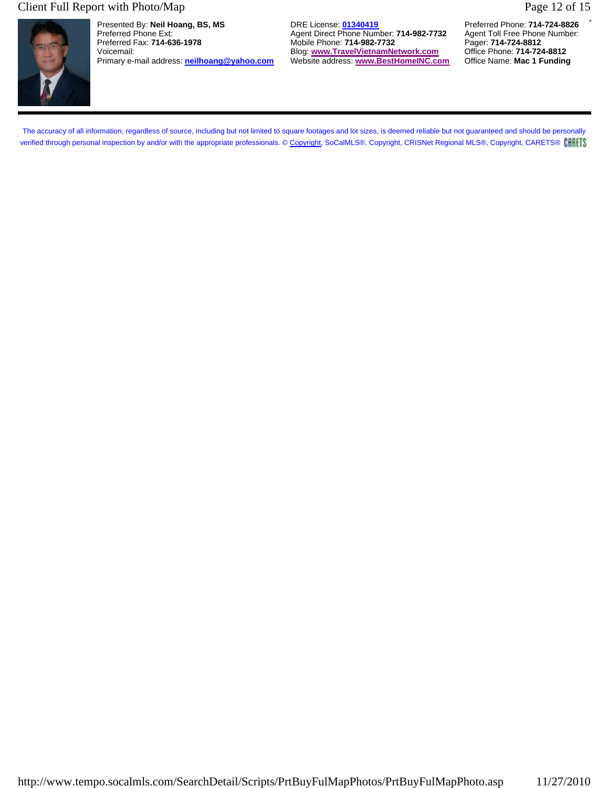#### Client Full Report with Photo/Map Page 12 of 15



Presented By: **Neil Hoang, BS, MS** DRE License: **01340419** Preferred Phone: **714-724-8826** Preferred Phone Ext: **Agent Direct Phone Number: 714-982-7732** Agent Toll Free Phone Number: **Preferred Fax: 714-636-1978** Agent Toll Free Phone Number: **Preferred Fax: 714-636-1978** Agent: **714-982-7732** Agent: **714-724-8** Primary e-mail address: **neilhoang@yahoo.com** 

Mobile Phone: **714-982-7732** Pager: **714-724-8812**<br>Blog: www.TravelVietnamNetwork.com Office Phone: 714-724-8812 Voicemail: Blog: **www.TravelVietnamNetwork.com** Office Phone: **714-724-8812**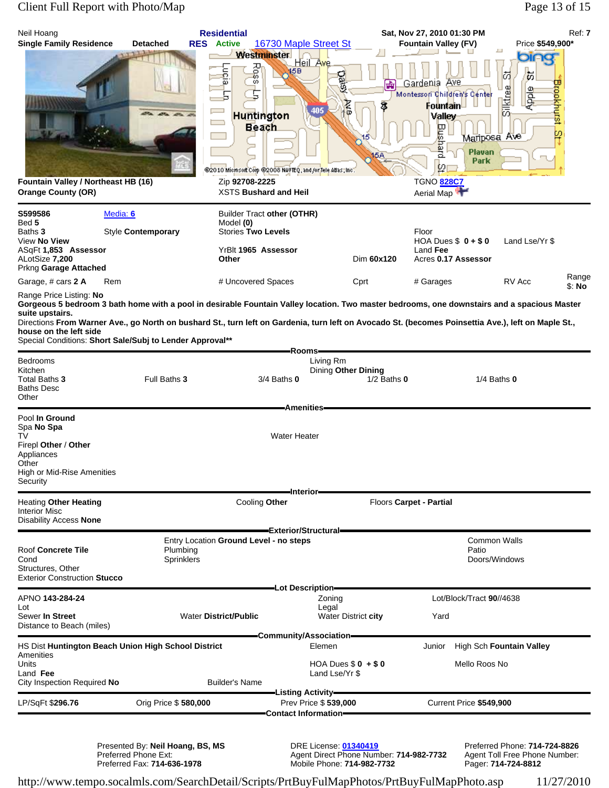## Client Full Report with Photo/Map Page 13 of 15

| Neil Hoang<br><b>Single Family Residence</b>                                                                                                                                                                                                                                                                                                                                                                                           | <b>Detached</b>               | <b>Residential</b><br><b>RES</b> Active                                                                             | 16730 Maple Street St                                                                              |                                        | Sat, Nov 27, 2010 01:30 PM<br><b>Fountain Valley (FV)</b>                                                                                                                           | Price \$549,900*                                               | Ref: 7          |
|----------------------------------------------------------------------------------------------------------------------------------------------------------------------------------------------------------------------------------------------------------------------------------------------------------------------------------------------------------------------------------------------------------------------------------------|-------------------------------|---------------------------------------------------------------------------------------------------------------------|----------------------------------------------------------------------------------------------------|----------------------------------------|-------------------------------------------------------------------------------------------------------------------------------------------------------------------------------------|----------------------------------------------------------------|-----------------|
| Fountain Valley / Northeast HB (16)<br><b>Orange County (OR)</b>                                                                                                                                                                                                                                                                                                                                                                       |                               | <b>Westminster</b><br>Rașs<br><b>Lucia</b><br><b>Huntington</b><br>Beach<br>Zip 92708-2225<br>XSTS Bushard and Heil | Heil Ave<br>15B<br><u>ରୁ</u><br>405<br>@2010 Microsoft Corp @2008 NAVTEQ, and /or Tele Atlas, Inc. | 靑<br>BKA<br>3<br>15<br>15A             | <u>Ave</u><br>Gardenia<br>Montessori Children's Center<br>Fountain-<br><b>Valley</b><br>Bushard<br>Mariposa Ave<br>Plavan<br>Park<br>$\varphi_1$<br><b>TGNO 828C7</b><br>Aerial Map | oing<br>岗<br>t,<br>Brookhurst<br>Silktree<br><b>Apple</b><br>⊵ |                 |
| S599586<br>Bed 5                                                                                                                                                                                                                                                                                                                                                                                                                       | Media: 6                      | Builder Tract other (OTHR)<br>Model (0)                                                                             |                                                                                                    |                                        |                                                                                                                                                                                     |                                                                |                 |
| Baths 3<br>View No View<br>ASqFt 1,853 Assessor<br>ALotSize 7,200                                                                                                                                                                                                                                                                                                                                                                      | Style Contemporary            | <b>Stories Two Levels</b><br>YrBlt 1965 Assessor<br>Other                                                           |                                                                                                    | Dim 60x120                             | Floor<br>HOA Dues $$0 + $0$<br>Land Fee<br>Acres 0.17 Assessor                                                                                                                      | Land Lse/Yr \$                                                 |                 |
| Prkng Garage Attached<br>Garage, # cars 2 A                                                                                                                                                                                                                                                                                                                                                                                            | Rem                           | # Uncovered Spaces                                                                                                  |                                                                                                    | Cprt                                   | # Garages                                                                                                                                                                           | RV Acc                                                         | Range<br>\$: No |
| Range Price Listing: No<br>Gorgeous 5 bedroom 3 bath home with a pool in desirable Fountain Valley location. Two master bedrooms, one downstairs and a spacious Master<br>suite upstairs.<br>Directions From Warner Ave., go North on bushard St., turn left on Gardenia, turn left on Avocado St. (becomes Poinsettia Ave.), left on Maple St.,<br>house on the left side<br>Special Conditions: Short Sale/Subj to Lender Approval** |                               |                                                                                                                     | Rooms-                                                                                             |                                        |                                                                                                                                                                                     |                                                                |                 |
| Bedrooms<br>Kitchen<br>Total Baths 3<br><b>Baths Desc</b><br>Other                                                                                                                                                                                                                                                                                                                                                                     | Full Baths 3                  |                                                                                                                     | Living Rm<br>$3/4$ Baths $0$<br><b>Amenities</b>                                                   | Dining Other Dining<br>$1/2$ Baths $0$ |                                                                                                                                                                                     | $1/4$ Baths $0$                                                |                 |
| Pool In Ground<br>Spa No Spa<br>TV<br>Firepl Other / Other<br>Appliances<br>Other<br>High or Mid-Rise Amenities<br>Security                                                                                                                                                                                                                                                                                                            |                               |                                                                                                                     | <b>Water Heater</b>                                                                                |                                        |                                                                                                                                                                                     |                                                                |                 |
| <b>Heating Other Heating</b><br><b>Interior Misc</b><br>Disability Access None                                                                                                                                                                                                                                                                                                                                                         |                               | Cooling Other                                                                                                       | -Interior-                                                                                         |                                        | Floors Carpet - Partial                                                                                                                                                             |                                                                |                 |
| Roof Concrete Tile<br>Cond<br>Structures, Other<br><b>Exterior Construction Stucco</b>                                                                                                                                                                                                                                                                                                                                                 | Plumbing<br><b>Sprinklers</b> | Entry Location Ground Level - no steps                                                                              | Exterior/Structural—                                                                               |                                        | Patio                                                                                                                                                                               | <b>Common Walls</b><br>Doors/Windows                           |                 |
| APNO 143-284-24                                                                                                                                                                                                                                                                                                                                                                                                                        |                               |                                                                                                                     | -Lot Description-<br>Zoning                                                                        |                                        | Lot/Block/Tract 90//4638                                                                                                                                                            |                                                                |                 |
| Lot<br>Sewer In Street<br>Distance to Beach (miles)                                                                                                                                                                                                                                                                                                                                                                                    |                               | <b>Water District/Public</b>                                                                                        | Legal                                                                                              | Water District city                    | Yard                                                                                                                                                                                |                                                                |                 |
| HS Dist Huntington Beach Union High School District                                                                                                                                                                                                                                                                                                                                                                                    |                               |                                                                                                                     | -Community/Association-<br>Elemen                                                                  |                                        | Junior                                                                                                                                                                              | High Sch Fountain Valley                                       |                 |
| Amenities<br>Units<br>Land Fee<br>City Inspection Required No                                                                                                                                                                                                                                                                                                                                                                          |                               | <b>Builder's Name</b>                                                                                               | Land Lse/Yr \$                                                                                     | HOA Dues $$0 + $0$                     | Mello Roos No                                                                                                                                                                       |                                                                |                 |
| LP/SqFt \$296.76                                                                                                                                                                                                                                                                                                                                                                                                                       | Orig Price \$580,000          |                                                                                                                     | —Listing Activity—<br>Prev Price \$539,000                                                         |                                        | Current Price \$549,900                                                                                                                                                             |                                                                |                 |
|                                                                                                                                                                                                                                                                                                                                                                                                                                        |                               |                                                                                                                     | Contact Information-                                                                               |                                        |                                                                                                                                                                                     |                                                                |                 |

Presented By: **Neil Hoang, BS, MS** DRE License: **01340419** Preferred Phone: **714-724-8826** Preferred Phone Ext: Agent Direct Phone Number: **714-982-7732** Agent Toll Free Phone Number: Preferred Fax: **714-636-1978** Mobile Phone: **714-982-7732** Pager: **714-724-8812**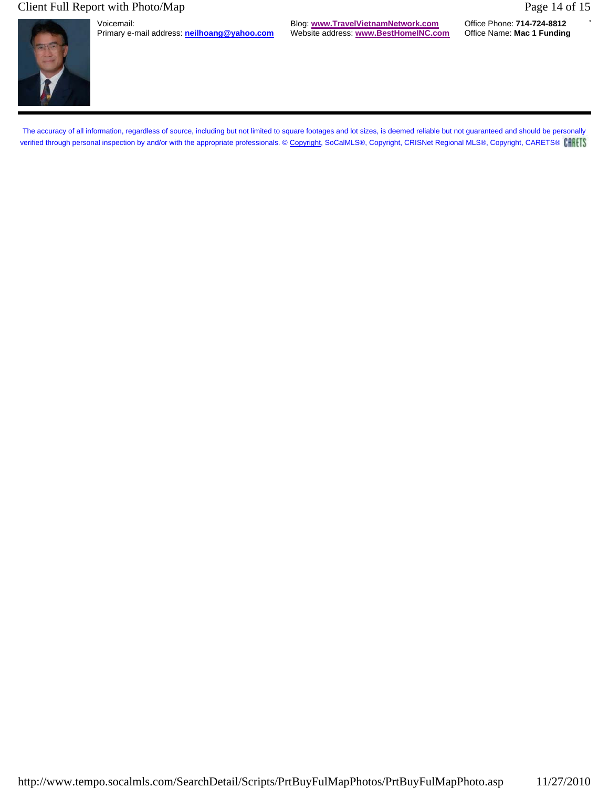### Client Full Report with Photo/Map Page 14 of 15



Primary e-mail address: **neilhoang@yahoo.com** 

Voicemail: Blog: **www.TravelVietnamNetwork.com** Office Phone: **714-724-8812**